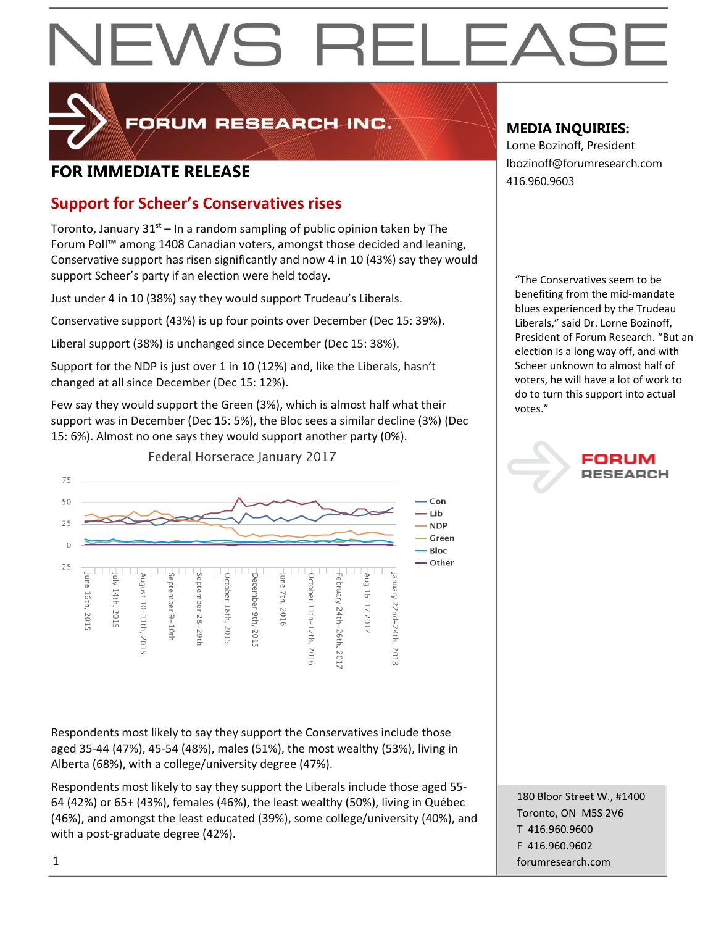

### FORUM RESEARCH INC.

## **FOR IMMEDIATE RELEASE And a** series and a series of the series and a series of the series of the series and a series of the series of the series of the series of the series of the series of the series of the series of t

### **Support for Scheer's Conservatives rises**

Toronto, January  $31<sup>st</sup> - In a random sampling of public opinion taken by The$ Forum Poll™ among 1408 Canadian voters, amongst those decided and leaning, Conservative support has risen significantly and now 4 in 10 (43%) say they would support Scheer's party if an election were held today.

Just under 4 in 10 (38%) say they would support Trudeau's Liberals.

Conservative support (43%) is up four points over December (Dec 15: 39%).

Liberal support (38%) is unchanged since December (Dec 15: 38%).

Support for the NDP is just over 1 in 10 (12%) and, like the Liberals, hasn't changed at all since December (Dec 15: 12%).

Few say they would support the Green (3%), which is almost half what their support was in December (Dec 15: 5%), the Bloc sees a similar decline (3%) (Dec 15: 6%). Almost no one says they would support another party (0%).



Federal Horserace January 2017

### **MEDIA INQUIRIES:**

Lorne Bozinoff, President lbozinoff@forumresearch.com

"The Conservatives seem to be benefiting from the mid-mandate blues experienced by the Trudeau Liberals," said Dr. Lorne Bozinoff, President of Forum Research. "But an election is a long way off, and with Scheer unknown to almost half of voters, he will have a lot of work to do to turn this support into actual votes."



Respondents most likely to say they support the Conservatives include those aged 35-44 (47%), 45-54 (48%), males (51%), the most wealthy (53%), living in Alberta (68%), with a college/university degree (47%).

Respondents most likely to say they support the Liberals include those aged 55- 64 (42%) or 65+ (43%), females (46%), the least wealthy (50%), living in Québec (46%), and amongst the least educated (39%), some college/university (40%), and with a post-graduate degree (42%).

180 Bloor Street W., #1400 Toronto, ON M5S 2V6 T 416.960.9600 F 416.960.9602 1 forumresearch.com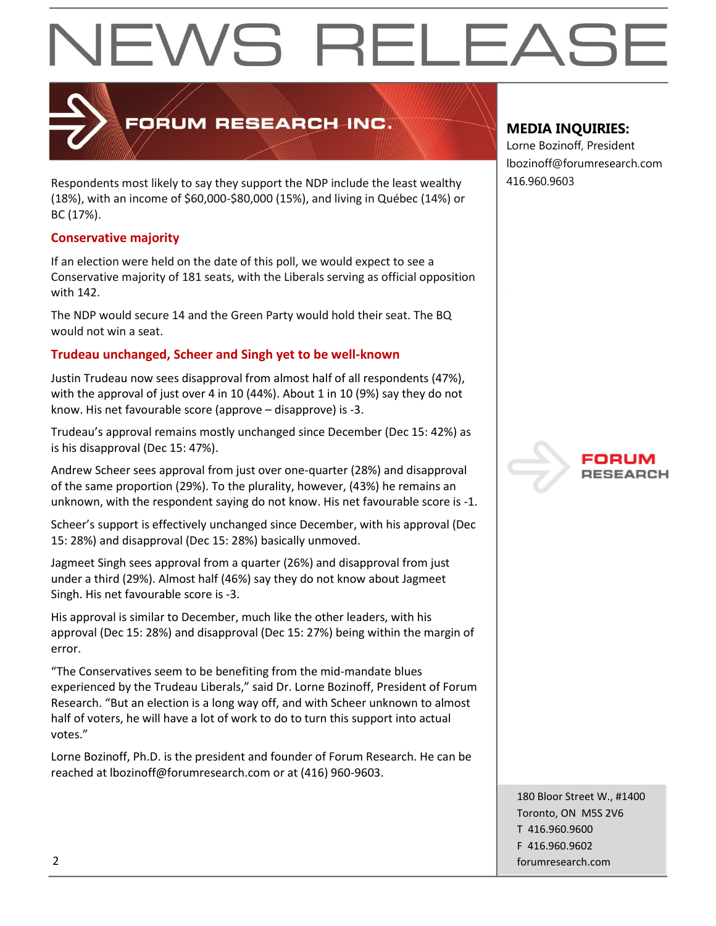

### **ORUM RESEARCH INC.**

Respondents most likely to say they support the NDP include the least wealthy 416.960.9603 (18%), with an income of \$60,000-\$80,000 (15%), and living in Québec (14%) or BC (17%).

#### **Conservative majority**

If an election were held on the date of this poll, we would expect to see a Conservative majority of 181 seats, with the Liberals serving as official opposition with 142.

The NDP would secure 14 and the Green Party would hold their seat. The BQ would not win a seat.

#### **Trudeau unchanged, Scheer and Singh yet to be well-known**

Justin Trudeau now sees disapproval from almost half of all respondents (47%), with the approval of just over 4 in 10 (44%). About 1 in 10 (9%) say they do not know. His net favourable score (approve – disapprove) is -3.

Trudeau's approval remains mostly unchanged since December (Dec 15: 42%) as is his disapproval (Dec 15: 47%).

Andrew Scheer sees approval from just over one-quarter (28%) and disapproval of the same proportion (29%). To the plurality, however, (43%) he remains an unknown, with the respondent saying do not know. His net favourable score is -1.

Scheer's support is effectively unchanged since December, with his approval (Dec 15: 28%) and disapproval (Dec 15: 28%) basically unmoved.

Jagmeet Singh sees approval from a quarter (26%) and disapproval from just under a third (29%). Almost half (46%) say they do not know about Jagmeet Singh. His net favourable score is -3.

His approval is similar to December, much like the other leaders, with his approval (Dec 15: 28%) and disapproval (Dec 15: 27%) being within the margin of error.

"The Conservatives seem to be benefiting from the mid-mandate blues experienced by the Trudeau Liberals," said Dr. Lorne Bozinoff, President of Forum Research. "But an election is a long way off, and with Scheer unknown to almost half of voters, he will have a lot of work to do to turn this support into actual votes."

Lorne Bozinoff, Ph.D. is the president and founder of Forum Research. He can be reached at lbozinoff@forumresearch.com or at (416) 960-9603.

### **MEDIA INQUIRIES:**

Lorne Bozinoff, President lbozinoff@forumresearch.com



180 Bloor Street W., #1400 Toronto, ON M5S 2V6 T 416.960.9600 F 416.960.9602 2 forumresearch.com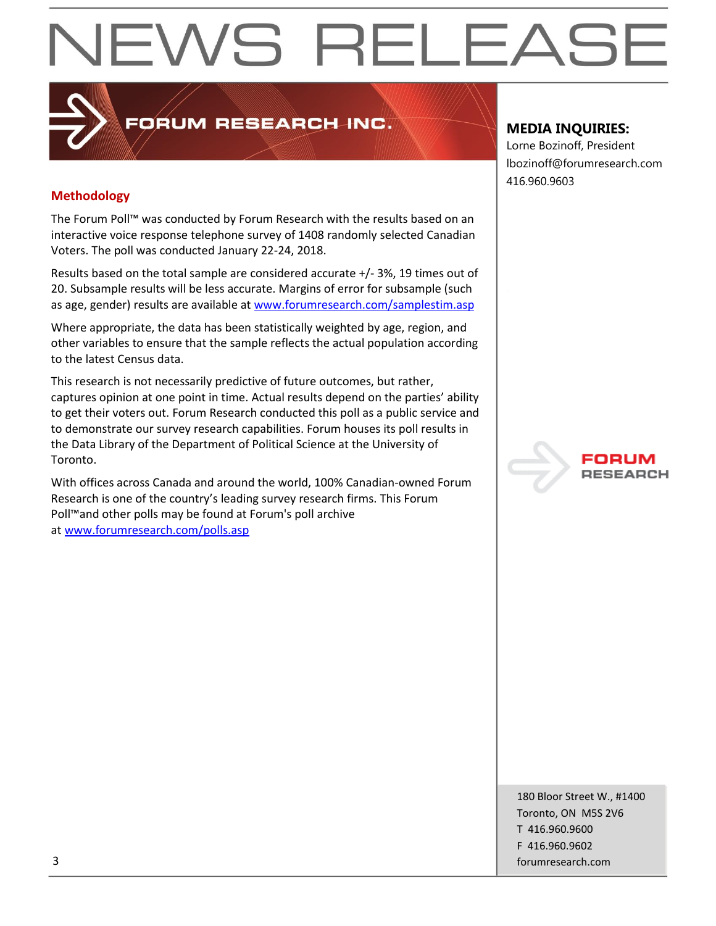#### **Methodology**

The Forum Poll™ was conducted by Forum Research with the results based on an interactive voice response telephone survey of 1408 randomly selected Canadian Voters. The poll was conducted January 22-24, 2018.

**PRUM RESEARCH INC.** 

Results based on the total sample are considered accurate +/- 3%, 19 times out of 20. Subsample results will be less accurate. Margins of error for subsample (such as age, gender) results are available at [www.forumresearch.com/samplestim.asp](http://www.forumresearch.com/samplestim.asp)

Where appropriate, the data has been statistically weighted by age, region, and other variables to ensure that the sample reflects the actual population according to the latest Census data.

This research is not necessarily predictive of future outcomes, but rather, captures opinion at one point in time. Actual results depend on the parties' ability to get their voters out. Forum Research conducted this poll as a public service and to demonstrate our survey research capabilities. Forum houses its poll results in the Data Library of the Department of Political Science at the University of Toronto.

With offices across Canada and around the world, 100% Canadian-owned Forum Research is one of the country's leading survey research firms. This Forum Poll™and other polls may be found at Forum's poll archive at [www.forumresearch.com/polls.asp](http://www.forumresearch.com/polls.asp)

#### **MEDIA INQUIRIES:**

Lorne Bozinoff, President lbozinoff@forumresearch.com 416.960.9603



180 Bloor Street W., #1400 Toronto, ON M5S 2V6 T 416.960.9600 F 416.960.9602 3 forumresearch.com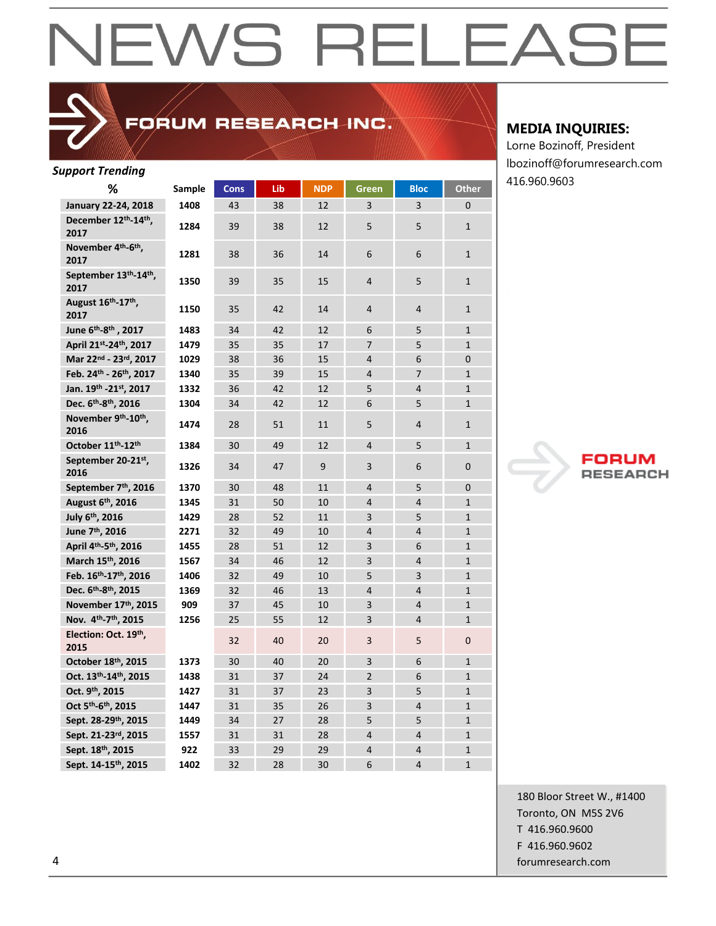### FORUM RESEARCH INC.

#### *Support Trending*

| ipport Trenaing                                     |        |      |     |            |                          |                |                |
|-----------------------------------------------------|--------|------|-----|------------|--------------------------|----------------|----------------|
| %                                                   | Sample | Cons | Lib | <b>NDP</b> | Green                    | <b>Bloc</b>    | <b>Other</b>   |
| January 22-24, 2018                                 | 1408   | 43   | 38  | 12         | 3                        | 3              | $\mathbf 0$    |
| December 12th-14th,<br>2017                         | 1284   | 39   | 38  | 12         | 5                        | 5              | $\mathbf{1}$   |
| November 4 <sup>th</sup> -6 <sup>th</sup> ,<br>2017 | 1281   | 38   | 36  | 14         | 6                        | 6              | $\mathbf{1}$   |
| September 13th-14th,<br>2017                        | 1350   | 39   | 35  | 15         | 4                        | 5              | $\mathbf{1}$   |
| August 16th-17th,<br>2017                           | 1150   | 35   | 42  | 14         | 4                        | $\overline{4}$ | $\mathbf{1}$   |
| June 6 <sup>th</sup> -8 <sup>th</sup> , 2017        | 1483   | 34   | 42  | 12         | 6                        | 5              | $\mathbf{1}$   |
| April 21st-24th, 2017                               | 1479   | 35   | 35  | 17         | 7                        | 5              | $\mathbf{1}$   |
| Mar 22nd - 23rd, 2017                               | 1029   | 38   | 36  | 15         | 4                        | 6              | 0              |
| Feb. 24th - 26th, 2017                              | 1340   | 35   | 39  | 15         | 4                        | 7              | $\mathbf{1}$   |
| Jan. 19 <sup>th</sup> -21st. 2017                   | 1332   | 36   | 42  | 12         | 5                        | $\overline{4}$ | $\mathbf{1}$   |
| Dec. 6th-8th, 2016                                  | 1304   | 34   | 42  | 12         | 6                        | 5              | $\mathbf{1}$   |
| November 9th-10th,<br>2016                          | 1474   | 28   | 51  | 11         | 5                        | 4              | $\mathbf{1}$   |
| October 11 <sup>th</sup> -12 <sup>th</sup>          | 1384   | 30   | 49  | 12         | 4                        | 5              | $\mathbf{1}$   |
| September 20-21st,<br>2016                          | 1326   | 34   | 47  | 9          | 3                        | 6              | $\mathbf 0$    |
| September 7th, 2016                                 | 1370   | 30   | 48  | 11         | 4                        | 5              | $\mathbf 0$    |
| August 6 <sup>th</sup> , 2016                       | 1345   | 31   | 50  | 10         | 4                        | $\overline{4}$ | $\mathbf{1}$   |
| July 6 <sup>th</sup> , 2016                         | 1429   | 28   | 52  | 11         | 3                        | 5              | $\mathbf{1}$   |
| June 7 <sup>th</sup> , 2016                         | 2271   | 32   | 49  | 10         | 4                        | $\overline{4}$ | $\mathbf{1}$   |
| April 4th-5th, 2016                                 | 1455   | 28   | 51  | 12         | 3                        | 6              | $\mathbf{1}$   |
| March 15th, 2016                                    | 1567   | 34   | 46  | 12         | 3                        | $\overline{4}$ | $\mathbf{1}$   |
| Feb. 16th-17th, 2016                                | 1406   | 32   | 49  | 10         | 5                        | 3              | $\mathbf{1}$   |
| Dec. 6th-8th, 2015                                  | 1369   | 32   | 46  | 13         | 4                        | $\overline{4}$ | $\mathbf{1}$   |
| November 17th, 2015                                 | 909    | 37   | 45  | 10         | 3                        | $\overline{4}$ | $\mathbf{1}$   |
| Nov. 4th-7th, 2015                                  | 1256   | 25   | 55  | 12         | 3                        | $\overline{4}$ | $\mathbf{1}$   |
| Election: Oct. 19th,<br>2015                        |        | 32   | 40  | 20         | 3                        | 5              | $\mathbf 0$    |
| October 18th, 2015                                  | 1373   | 30   | 40  | 20         | 3                        | 6              | $\mathbf{1}$   |
| Oct. 13th-14th, 2015                                | 1438   | 31   | 37  | 24         | $\overline{\phantom{0}}$ | 6              | $\mathbf{1}$   |
| Oct. 9th, 2015                                      | 1427   | 31   | 37  | 23         | 3                        | 5              | $\mathbf{1}$   |
| Oct 5 <sup>th</sup> -6 <sup>th</sup> , 2015         | 1447   | 31   | 35  | 26         | 3                        | $\overline{4}$ | $\mathbf{1}$   |
| Sept. 28-29th, 2015                                 | 1449   | 34   | 27  | 28         | 5                        | 5              | $\mathbf{1}$   |
| Sept. 21-23rd, 2015                                 | 1557   | 31   | 31  | 28         | 4                        | $\overline{4}$ | $\mathbf{1}$   |
| Sept. 18th, 2015                                    | 922    | 33   | 29  | 29         | 4                        | $\overline{4}$ | $\mathbf{1}$   |
| Sept. 14-15 <sup>th</sup> , 2015                    | 1402   | 32   | 28  | 30         | 6                        | $\overline{4}$ | $\overline{1}$ |

#### **MEDIA INQUIRIES:**

Lorne Bozinoff, President lbozinoff@forumresearch.com 416.960.9603



180 Bloor Street W., #1400 Toronto, ON M5S 2V6 T 416.960.9600 F 416.960.9602 4 forumresearch.com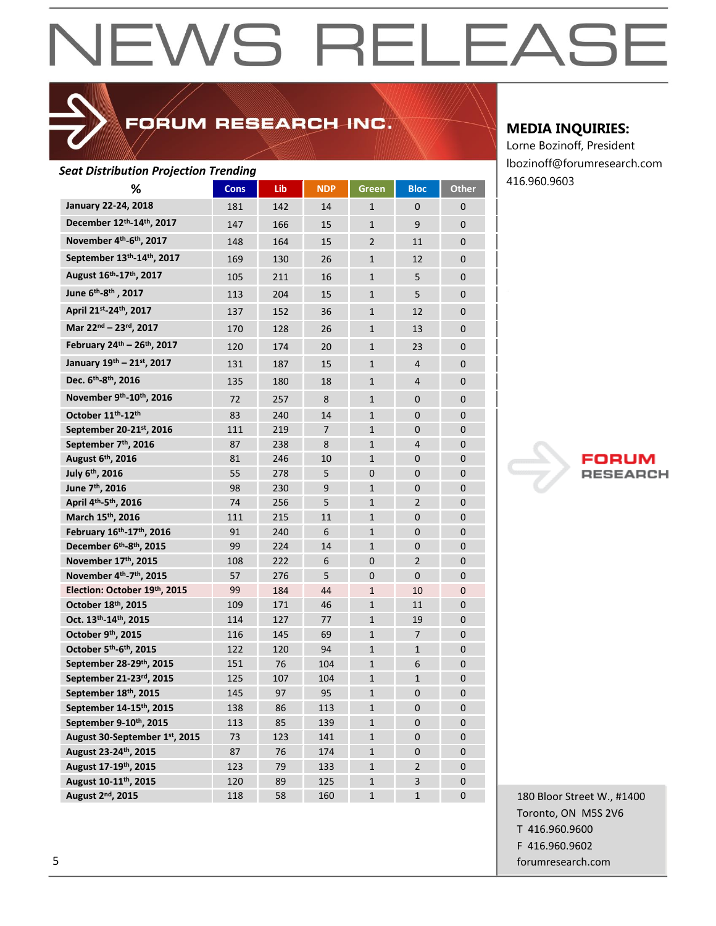## FORUM RESEARCH INC.

#### *Seat Distribution Projection Trending*

| seut Distribution Frojection Trending              |             |     |                |                |                |                |
|----------------------------------------------------|-------------|-----|----------------|----------------|----------------|----------------|
| %                                                  | <b>Cons</b> | Lib | <b>NDP</b>     | Green          | <b>Bloc</b>    | <b>Other</b>   |
| January 22-24, 2018                                | 181         | 142 | 14             | $\mathbf{1}$   | $\mathbf 0$    | $\mathbf{0}$   |
| December 12th-14th, 2017                           | 147         | 166 | 15             | $\mathbf{1}$   | 9              | 0              |
| November 4th-6th, 2017                             | 148         | 164 | 15             | $\overline{2}$ | 11             | $\overline{0}$ |
| September 13th-14th, 2017                          | 169         | 130 | 26             | 1              | 12             | 0              |
| August 16 <sup>th</sup> -17 <sup>th</sup> , 2017   | 105         | 211 | 16             | $\mathbf{1}$   | 5              | $\mathbf 0$    |
| June 6 <sup>th</sup> -8 <sup>th</sup> , 2017       | 113         | 204 | 15             | $\mathbf{1}$   | 5              | 0              |
| April 21st-24th, 2017                              | 137         | 152 | 36             | $\mathbf{1}$   | 12             | $\mathbf 0$    |
| Mar 22nd - 23rd, 2017                              | 170         | 128 | 26             | $\mathbf{1}$   | 13             | 0              |
| February 24th - 26th, 2017                         | 120         | 174 | 20             | $\mathbf{1}$   | 23             | $\overline{0}$ |
| January 19th - 21st, 2017                          | 131         | 187 | 15             | $\mathbf{1}$   | 4              | 0              |
| Dec. 6 <sup>th</sup> -8 <sup>th</sup> , 2016       | 135         | 180 | 18             | $\mathbf{1}$   | 4              | $\overline{0}$ |
| November 9th-10th, 2016                            | 72          | 257 | 8              | $\mathbf{1}$   | 0              | 0              |
| October 11th-12th                                  | 83          | 240 | 14             | $\mathbf{1}$   | $\overline{0}$ | $\overline{0}$ |
| September 20-21st, 2016                            | 111         | 219 | $\overline{7}$ | $\mathbf{1}$   | 0              | $\overline{0}$ |
| September 7th, 2016                                | 87          | 238 | 8              | $\mathbf{1}$   | 4              | $\mathbf{0}$   |
| August 6th, 2016                                   | 81          | 246 | 10             | $\mathbf{1}$   | 0              | $\overline{0}$ |
| July 6th, 2016                                     | 55          | 278 | 5              | 0              | 0              | $\overline{0}$ |
| June 7 <sup>th</sup> , 2016                        | 98          | 230 | 9              | $\mathbf{1}$   | 0              | $\mathbf 0$    |
| April 4th-5th, 2016                                | 74          | 256 | 5              | $\mathbf{1}$   | 2              | $\mathbf{0}$   |
| March 15th, 2016                                   | 111         | 215 | 11             | $\mathbf{1}$   | 0              | 0              |
| February 16 <sup>th</sup> -17 <sup>th</sup> , 2016 | 91          | 240 | 6              | $\mathbf{1}$   | 0              | 0              |
| December 6th-8th, 2015                             | 99          | 224 | 14             | $\mathbf{1}$   | 0              | $\mathbf{0}$   |
| November 17th, 2015                                | 108         | 222 | 6              | 0              | 2              | $\overline{0}$ |
| November 4th-7th, 2015                             | 57          | 276 | 5              | 0              | 0              | $\overline{0}$ |
| Election: October 19th, 2015                       | 99          | 184 | 44             | $\mathbf{1}$   | 10             | $\overline{0}$ |
| October 18th, 2015                                 | 109         | 171 | 46             | $\mathbf{1}$   | 11             | 0              |
| Oct. 13th-14th, 2015                               | 114         | 127 | 77             | $\mathbf{1}$   | 19             | $\mathbf{0}$   |
| October 9th, 2015                                  | 116         | 145 | 69             | $\mathbf{1}$   | $\overline{7}$ | $\overline{0}$ |
| October 5 <sup>th</sup> -6 <sup>th</sup> , 2015    | 122         | 120 | 94             | $\mathbf{1}$   | $\mathbf{1}$   | 0              |
| September 28-29th, 2015                            | 151         | 76  | 104            | $\mathbf{1}$   | 6              | $\mathbf{0}$   |
| September 21-23rd, 2015                            | 125         | 107 | 104            | $\mathbf{1}$   | $\mathbf{1}$   | $\mathbf 0$    |
| September 18th, 2015                               | 145         | 97  | 95             | $\mathbf{1}$   | 0              | 0              |
| September 14-15th, 2015                            | 138         | 86  | 113            | $\mathbf{1}$   | $\mathbf{0}$   | 0              |
| September 9-10th, 2015                             | 113         | 85  | 139            | $\mathbf{1}$   | 0              | 0              |
| August 30-September 1st, 2015                      | 73          | 123 | 141            | $\mathbf{1}$   | $\mathbf 0$    | $\mathbf 0$    |
| August 23-24th, 2015                               | 87          | 76  | 174            | $\mathbf{1}$   | $\mathbf 0$    | $\mathbf 0$    |
| August 17-19th, 2015                               | 123         | 79  | 133            | $\mathbf{1}$   | $\overline{2}$ | 0              |
| August 10-11 <sup>th</sup> , 2015                  | 120         | 89  | 125            | $\mathbf{1}$   | 3              | 0              |
| August 2 <sup>nd</sup> , 2015                      | 118         | 58  | 160            | $\mathbf{1}$   | $\mathbf{1}$   | $\mathbf 0$    |

#### **MEDIA INQUIRIES:**

Lorne Bozinoff, President lbozinoff@forumresearch.com 416.960.9603



180 Bloor Street W., #1400 Toronto, ON M5S 2V6 T 416.960.9600 F 416.960.9602 5 forumresearch.com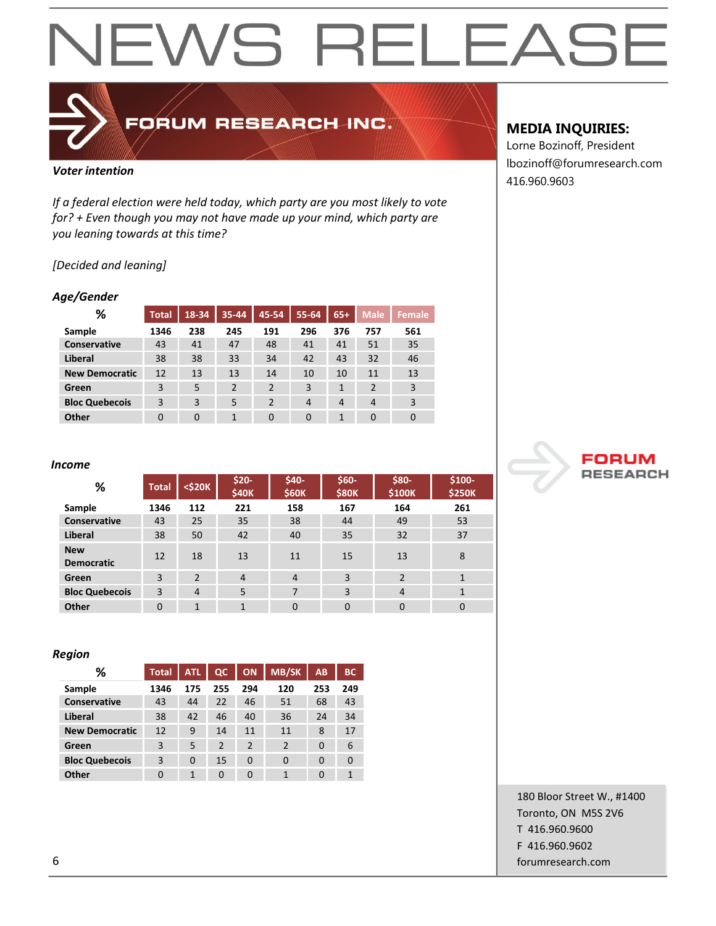

## FORUM RESEARCH INC.

#### *Voter intention*

*If a federal election were held today, which party are you most likely to vote for? + Even though you may not have made up your mind, which party are you leaning towards at this time?*

#### *[Decided and leaning]*

#### *Age/Gender*

| %                     | <b>Total</b> | 18-34    | 35-44          | 45-54          | 55-64          | $65+$          | <b>Male</b>    | Female   |
|-----------------------|--------------|----------|----------------|----------------|----------------|----------------|----------------|----------|
| Sample                | 1346         | 238      | 245            | 191            | 296            | 376            | 757            | 561      |
| <b>Conservative</b>   | 43           | 41       | 47             | 48             | 41             | 41             | 51             | 35       |
| Liberal               | 38           | 38       | 33             | 34             | 42             | 43             | 32             | 46       |
| <b>New Democratic</b> | 12           | 13       | 13             | 14             | 10             | 10             | 11             | 13       |
| Green                 | 3            | 5        | $\overline{2}$ | $\overline{2}$ | 3              | 1              | $\overline{2}$ | 3        |
| <b>Bloc Quebecois</b> | 3            | 3        | 5              | $\overline{2}$ | $\overline{4}$ | $\overline{4}$ | 4              | 3        |
| Other                 | $\Omega$     | $\Omega$ |                | $\Omega$       | $\Omega$       | 1              | $\Omega$       | $\Omega$ |

#### *Income*

| %                               | <b>Total</b> | $<$ \$20 $K$   | \$20-<br><b>\$40K</b> | \$40-<br><b>\$60K</b> | \$60-<br><b>\$80K</b> | \$80-<br>\$100K | \$100-<br><b>\$250K</b> |
|---------------------------------|--------------|----------------|-----------------------|-----------------------|-----------------------|-----------------|-------------------------|
| Sample                          | 1346         | 112            | 221                   | 158                   | 167                   | 164             | 261                     |
| <b>Conservative</b>             | 43           | 25             | 35                    | 38                    | 44                    | 49              | 53                      |
| <b>Liberal</b>                  | 38           | 50             | 42                    | 40                    | 35                    | 32              | 37                      |
| <b>New</b><br><b>Democratic</b> | 12           | 18             | 13                    | 11                    | 15                    | 13              | 8                       |
| Green                           | 3            | $\overline{2}$ | $\overline{4}$        | $\overline{4}$        | 3                     | 2               | $\mathbf{1}$            |
| <b>Bloc Quebecois</b>           | 3            | 4              | 5                     | 7                     | 3                     | $\overline{4}$  | $\mathbf{1}$            |
| Other                           | $\Omega$     | $\mathbf{1}$   | $\mathbf{1}$          | $\Omega$              | $\overline{0}$        | $\mathbf 0$     | $\mathbf 0$             |

#### *Region*

| ℅                     | <b>Total</b> | <b>ATL</b> | $\alpha$       | <b>ON</b>      | <b>MB/SK</b>   | AB       | <b>BC</b> |
|-----------------------|--------------|------------|----------------|----------------|----------------|----------|-----------|
| Sample                | 1346         | 175        | 255            | 294            | 120            | 253      | 249       |
| <b>Conservative</b>   | 43           | 44         | 22             | 46             | 51             | 68       | 43        |
| Liberal               | 38           | 42         | 46             | 40             | 36             | 24       | 34        |
| <b>New Democratic</b> | 12           | 9          | 14             | 11             | 11             | 8        | 17        |
| Green                 | 3            | 5          | $\overline{2}$ | $\overline{2}$ | $\overline{2}$ | $\Omega$ | 6         |
| <b>Bloc Quebecois</b> | 3            | 0          | 15             | 0              | $\Omega$       | 0        | $\Omega$  |
| Other                 | 0            | 1          | 0              | $\Omega$       | 1              | 0        |           |

### **MEDIA INQUIRIES:**

Lorne Bozinoff, President lbozinoff@forumresearch.com 416.960.9603



180 Bloor Street W., #1400 Toronto, ON M5S 2V6 T 416.960.9600 F 416.960.9602 6 forumresearch.com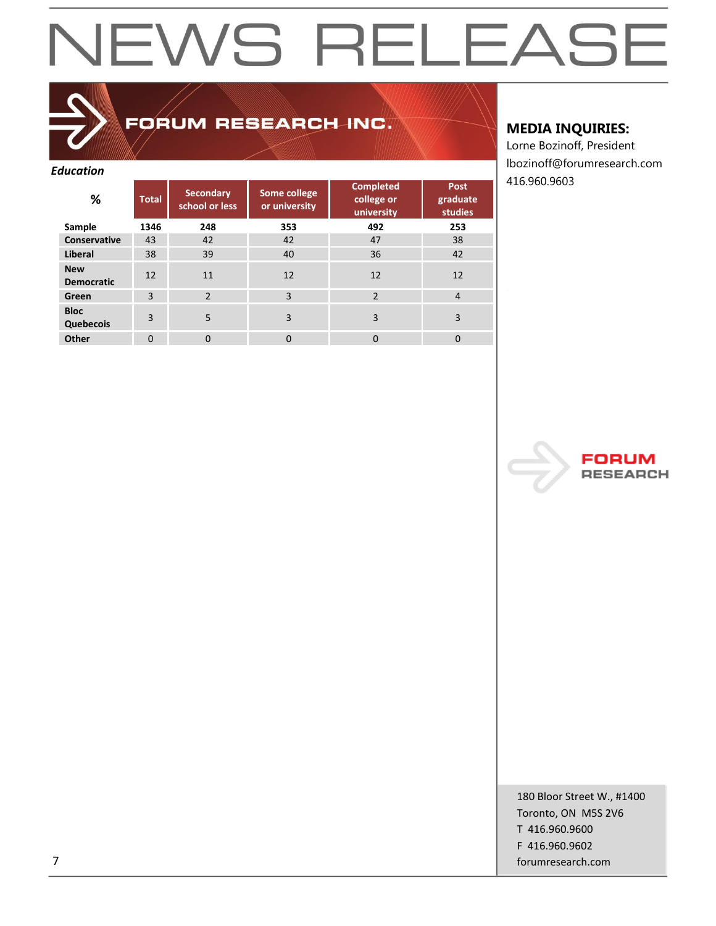## FORUM RESEARCH INC.

#### *Education*

| uucucivii                       |          |                                    |                               |                                              |                                           |
|---------------------------------|----------|------------------------------------|-------------------------------|----------------------------------------------|-------------------------------------------|
| %                               | Total    | <b>Secondary</b><br>school or less | Some college<br>or university | <b>Completed</b><br>college or<br>university | <b>Post</b><br>graduate<br><b>studies</b> |
| Sample                          | 1346     | 248                                | 353                           | 492                                          | 253                                       |
| Conservative                    | 43       | 42                                 | 42                            | 47                                           | 38                                        |
| Liberal                         | 38       | 39                                 | 40                            | 36                                           | 42                                        |
| <b>New</b><br><b>Democratic</b> | 12       | 11                                 | 12                            | 12                                           | 12                                        |
| Green                           | 3        | $\mathfrak{p}$                     | 3                             | $\overline{2}$                               | $\overline{4}$                            |
| <b>Bloc</b><br>Quebecois        | 3        | 5                                  | 3                             | 3                                            | 3                                         |
| Other                           | $\Omega$ | 0                                  | 0                             | 0                                            | 0                                         |

#### **MEDIA INQUIRIES:**

Lorne Bozinoff, President lbozinoff@forumresearch.com 416.960.9603



180 Bloor Street W., #1400 Toronto, ON M5S 2V6 T 416.960.9600 F 416.960.9602 7 forumresearch.com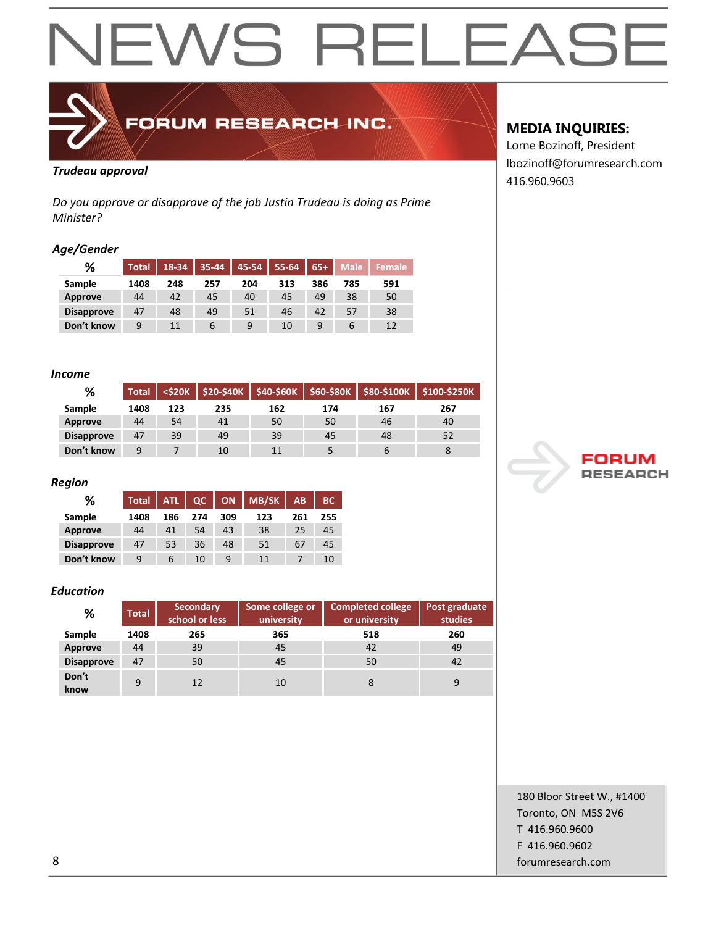

### FORUM RESEARCH INC.

#### *Trudeau approval*

*Do you approve or disapprove of the job Justin Trudeau is doing as Prime Minister?*

#### *Age/Gender*

| %                 | <b>Total</b> | 18-34 | 35-44 | 45-54 | 55-64 | $65+$ | Male | <b>Female</b> |
|-------------------|--------------|-------|-------|-------|-------|-------|------|---------------|
| Sample            | 1408         | 248   | 257   | 204   | 313   | 386   | 785  | 591           |
| Approve           | 44           | 42    | 45    | 40    | 45    | 49    | 38   | 50            |
| <b>Disapprove</b> | 47           | 48    | 49    | 51    | 46    | 42    | 57   | 38            |
| Don't know        | 9            | 11    | 6     | 9     | 10    |       |      | 12            |

#### *Income*

| %                 | <b>Total</b> | $<$ \$20K $\overline{a}$ |     |     |     |     | \$20-\$40K \$40-\$60K \$60-\$80K \$80-\$100K \$100-\$250K |
|-------------------|--------------|--------------------------|-----|-----|-----|-----|-----------------------------------------------------------|
| Sample            | 1408         | 123                      | 235 | 162 | 174 | 167 | 267                                                       |
| Approve           | 44           | 54                       | 41  | 50  | 50  | 46  | 40                                                        |
| <b>Disapprove</b> | 47           | 39                       | 49  | 39  | 45  | 48  | 52                                                        |
| Don't know        | 9            |                          | 10  | 11  |     | b   |                                                           |

#### *Region*

| %                 | <b>Total</b> | <b>ATL</b> | QC  | <b>ON</b> | <b>MB/SK</b> | AB  | <b>BC</b> |
|-------------------|--------------|------------|-----|-----------|--------------|-----|-----------|
| Sample            | 1408         | 186        | 274 | 309       | 123          | 261 | 255       |
| <b>Approve</b>    | 44           | 41         | 54  | 43        | 38           | 25  | 45        |
| <b>Disapprove</b> | 47           | 53         | 36  | 48        | 51           | 67  | 45        |
| Don't know        | 9            | 6          | 10  | 9         | 11           |     | 10        |

#### *Education*

| %                 | <b>Total</b> | <b>Secondary</b><br>school or less | Some college or<br>university | <b>Completed college</b><br>or university | Post graduate<br>studies |  |
|-------------------|--------------|------------------------------------|-------------------------------|-------------------------------------------|--------------------------|--|
| Sample            | 1408         | 265                                | 365                           | 518                                       | 260                      |  |
| Approve           | 44           | 39                                 | 45                            | 42                                        | 49                       |  |
| <b>Disapprove</b> | 47           | 50                                 | 45                            | 50                                        | 42                       |  |
| Don't<br>know     | $\mathsf{q}$ | 12                                 | 10                            | 8                                         | 9                        |  |

#### **MEDIA INQUIRIES:**

Lorne Bozinoff, President lbozinoff@forumresearch.com 416.960.9603



180 Bloor Street W., #1400 Toronto, ON M5S 2V6 T 416.960.9600 F 416.960.9602 8 forumresearch.com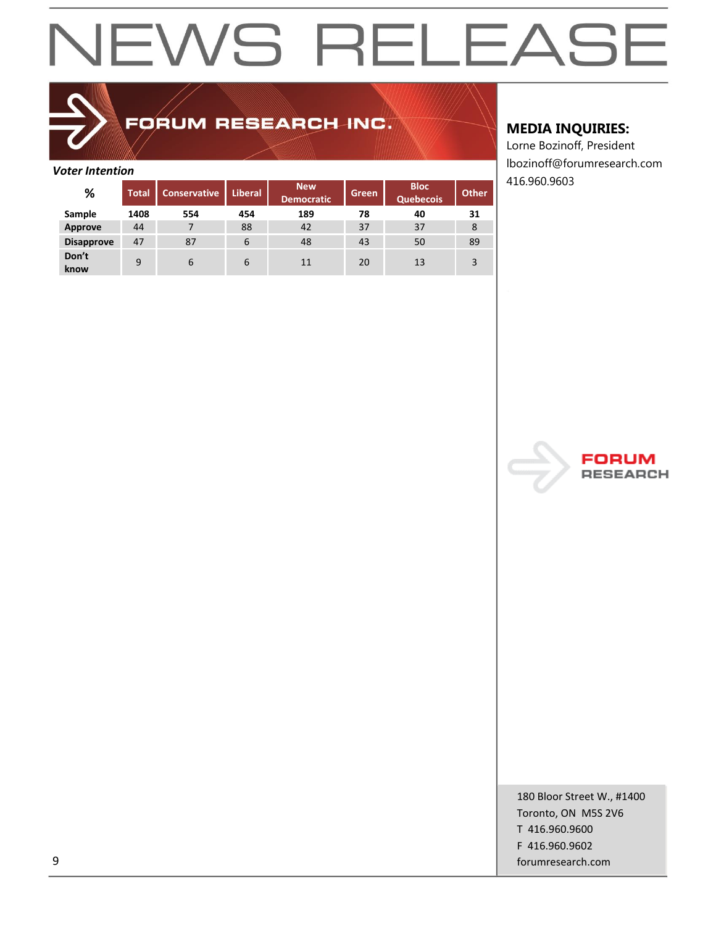### FORUM RESEARCH INC.

#### *Voter Intention*

| %                 | <b>Total</b> | <b>Conservative</b> | <b>Liberal</b> | <b>New</b><br><b>Democratic</b> | <b>Green</b> | <b>Bloc</b><br><b>Quebecois</b> | Other. |
|-------------------|--------------|---------------------|----------------|---------------------------------|--------------|---------------------------------|--------|
| Sample            | 1408         | 554                 | 454            | 189                             | 78           | 40                              | 31     |
| Approve           | 44           |                     | 88             | 42                              | 37           | 37                              | 8      |
| <b>Disapprove</b> | 47           | 87                  | 6              | 48                              | 43           | 50                              | 89     |
| Don't<br>know     | 9            | 6                   | 6              | 11                              | 20           | 13                              | 3      |

#### **MEDIA INQUIRIES:**

Lorne Bozinoff, President lbozinoff@forumresearch.com 416.960.9603



180 Bloor Street W., #1400 Toronto, ON M5S 2V6 T 416.960.9600 F 416.960.9602 9 forumresearch.com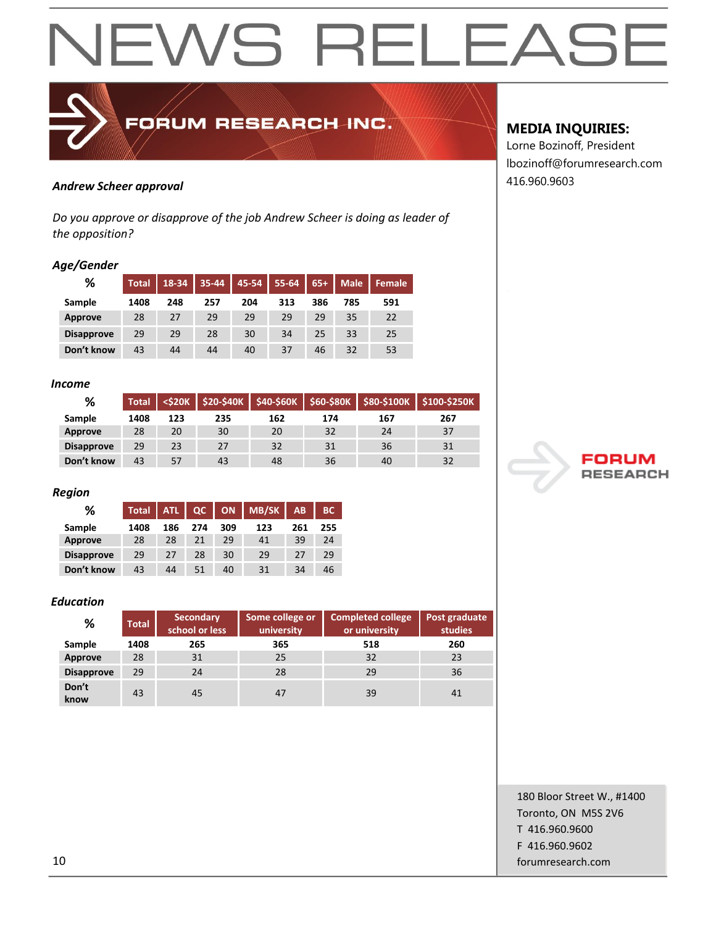

### 416.960.9603 *Andrew Scheer approval*

*Do you approve or disapprove of the job Andrew Scheer is doing as leader of the opposition?*

#### *Age/Gender*

| %                 | Total | 18-34 | 35-44 | 45-54 | 55-64 | $65+$ | <b>Male</b> | Female |
|-------------------|-------|-------|-------|-------|-------|-------|-------------|--------|
| Sample            | 1408  | 248   | 257   | 204   | 313   | 386   | 785         | 591    |
| Approve           | 28    | 27    | 29    | 29    | 29    | 29    | 35          | 22     |
| <b>Disapprove</b> | 29    | 29    | 28    | 30    | 34    | 25    | 33          | 25     |
| Don't know        | 43    | 44    | 44    | 40    | 37    | 46    | 32          | 53     |

#### *Income*

| %                 | <b>Total</b> | <b><s20k< b=""></s20k<></b> |     | $$20-$40K$ $$40-$60K$ $$60-$80K$ |     |     | $$80-$100K$ \$100-\$250K |
|-------------------|--------------|-----------------------------|-----|----------------------------------|-----|-----|--------------------------|
| Sample            | 1408         | 123                         | 235 | 162                              | 174 | 167 | 267                      |
| Approve           | 28           | 20                          | 30  | 20                               | 32  | 24  | 37                       |
| <b>Disapprove</b> | 29           | 23                          | 27  | 32                               | 31  | 36  | 31                       |
| Don't know        | 43           | 57                          | 43  | 48                               | 36  | 40  | 32                       |

#### *Region*

| ℅                 | <b>Total</b> | <b>ATL</b> | QC  | ON  | <b>MB/SK</b> | <b>AB</b> | <b>BC</b> |
|-------------------|--------------|------------|-----|-----|--------------|-----------|-----------|
| Sample            | 1408         | 186        | 274 | 309 | 123          | 261       | 255       |
| <b>Approve</b>    | 28           | 28         | 21  | 29  | 41           | 39        | 24        |
| <b>Disapprove</b> | 29           | 27         | 28  | 30  | 29           | 27        | 29        |
| Don't know        | 43           | 44         | 51  | 40  | 31           | 34        | 46        |

#### *Education*

| %                 | <b>Total</b> | <b>Secondary</b><br>school or less | Some college or<br>university | <b>Completed college</b><br>or university | Post graduate<br><b>studies</b> |
|-------------------|--------------|------------------------------------|-------------------------------|-------------------------------------------|---------------------------------|
| Sample            | 1408         | 265                                | 365                           | 518                                       | 260                             |
| Approve           | 28           | 31                                 | 25                            | 32                                        | 23                              |
| <b>Disapprove</b> | 29           | 24                                 | 28                            | 29                                        | 36                              |
| Don't<br>know     | 43           | 45                                 | 47                            | 39                                        | 41                              |

#### **MEDIA INQUIRIES:**

Lorne Bozinoff, President lbozinoff@forumresearch.com



180 Bloor Street W., #1400 Toronto, ON M5S 2V6 T 416.960.9600 F 416.960.9602 10 forumresearch.com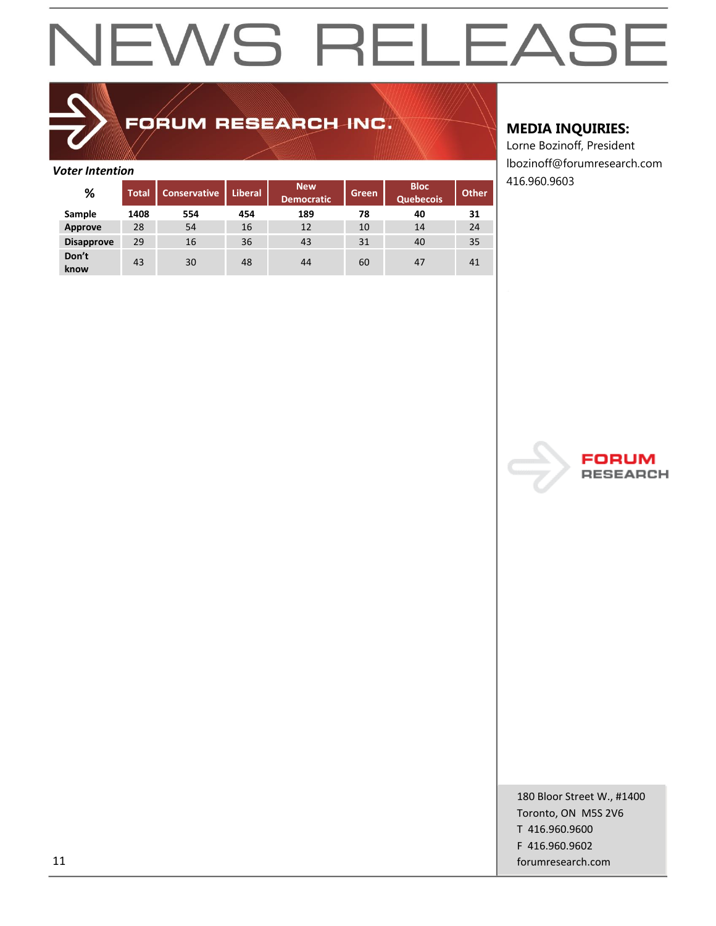### FORUM RESEARCH INC.

#### *Voter Intention*

| %                 | <b>Total</b> | <b>Conservative</b> | <b>Liberal</b> | <b>New</b><br><b>Democratic</b> | Green | <b>Bloc</b><br><b>Quebecois</b> | Other |
|-------------------|--------------|---------------------|----------------|---------------------------------|-------|---------------------------------|-------|
| Sample            | 1408         | 554                 | 454            | 189                             | 78    | 40                              | 31    |
| Approve           | 28           | 54                  | 16             | 12                              | 10    | 14                              | 24    |
| <b>Disapprove</b> | 29           | 16                  | 36             | 43                              | 31    | 40                              | 35    |
| Don't<br>know     | 43           | 30                  | 48             | 44                              | 60    | 47                              | 41    |

#### **MEDIA INQUIRIES:**

Lorne Bozinoff, President lbozinoff@forumresearch.com 416.960.9603



180 Bloor Street W., #1400 Toronto, ON M5S 2V6 T 416.960.9600 F 416.960.9602 11 forumresearch.com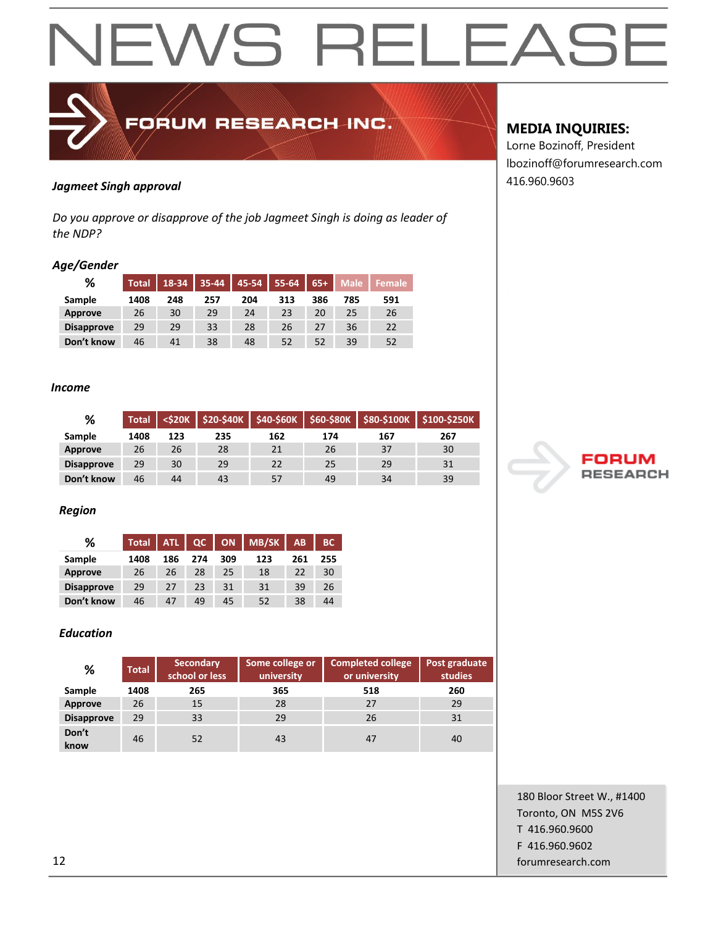

### 416.960.9603 *Jagmeet Singh approval*

*Do you approve or disapprove of the job Jagmeet Singh is doing as leader of the NDP?*

#### *Age/Gender*

| %                 | Total | 18-34 | $35 - 44$ | 45-54 | 55-64 | $65+$ | <b>Male</b> | <b>Female</b> |
|-------------------|-------|-------|-----------|-------|-------|-------|-------------|---------------|
| Sample            | 1408  | 248   | 257       | 204   | 313   | 386   | 785         | 591           |
| Approve           | 26    | 30    | 29        | 24    | 23    | 20    | 25          | 26            |
| <b>Disapprove</b> | 29    | 29    | 33        | 28    | 26    | 27    | 36          | 22            |
| Don't know        | 46    | 41    | 38        | 48    | 52    | 52    | 39          | 52            |

#### *Income*

| %                 | <b>Total</b> |     |     |     |     |     | <\$20K   \$20-\$40K   \$40-\$60K   \$60-\$80K   \$80-\$100K   \$100-\$250K |
|-------------------|--------------|-----|-----|-----|-----|-----|----------------------------------------------------------------------------|
| Sample            | 1408         | 123 | 235 | 162 | 174 | 167 | 267                                                                        |
| Approve           | 26           | 26  | 28  | 21  | 26  | 37  | 30                                                                         |
| <b>Disapprove</b> | 29           | 30  | 29  | 22  | 25  | 29  | 31                                                                         |
| Don't know        | 46           | 44  | 43  | 57  | 49  | 34  | 39                                                                         |

#### *Region*

| %                 | <b>Total</b> | <b>ATL</b> | QC  | <b>ON</b> | <b>MB/SK</b> | <b>AB</b> | <b>BC</b> |
|-------------------|--------------|------------|-----|-----------|--------------|-----------|-----------|
| Sample            | 1408         | 186        | 274 | 309       | 123          | 261       | 255       |
| <b>Approve</b>    | 26           | 26         | 28  | 25        | 18           | 22        | 30        |
| <b>Disapprove</b> | 29           | 27         | 23  | 31        | 31           | 39        | 26        |
| Don't know        | 46           | 47         | 49  | 45        | 52           | 38        | 44        |

#### *Education*

| %                 | <b>Total</b> | Secondary<br>school or less | Some college or<br>university | <b>Completed college</b><br>or university | Post graduate<br><b>studies</b> |  |
|-------------------|--------------|-----------------------------|-------------------------------|-------------------------------------------|---------------------------------|--|
| Sample            | 1408         | 265                         | 365                           | 518                                       | 260                             |  |
| Approve           | 26           | 15                          | 28                            | 27                                        | 29                              |  |
| <b>Disapprove</b> | 29           | 33                          | 29                            | 26                                        | 31                              |  |
| Don't<br>know     | 46           | 52                          | 43                            | 47                                        | 40                              |  |

#### **MEDIA INQUIRIES:**

Lorne Bozinoff, President lbozinoff@forumresearch.com



180 Bloor Street W., #1400 Toronto, ON M5S 2V6 T 416.960.9600 F 416.960.9602 12 forumresearch.com